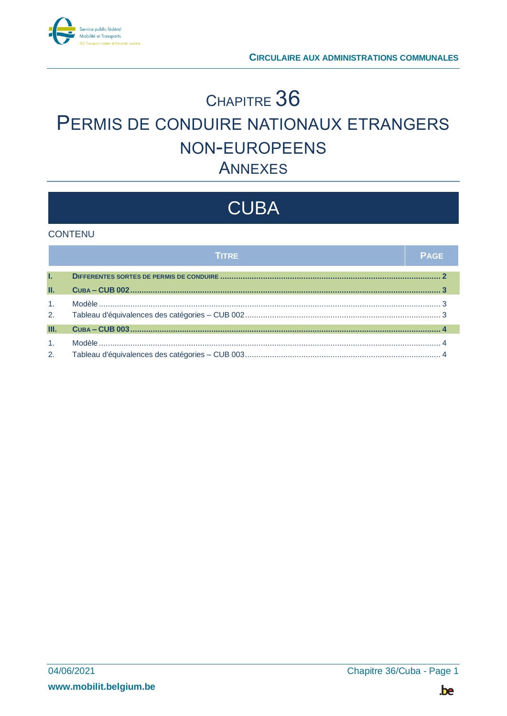

# CHAPITRE 36 PERMIS DE CONDUIRE NATIONAUX ETRANGERS NON-EUROPEENS **ANNEXES**

# **CUBA**

#### **CONTENU**

|                | <b>TITRE</b> | <b>PAGE</b> |
|----------------|--------------|-------------|
| L.             |              |             |
| П.             |              |             |
| 1 <sub>1</sub> |              |             |
| 2.             |              |             |
| Ш.             |              |             |
| 1 <sub>1</sub> |              |             |
| 2.             |              |             |

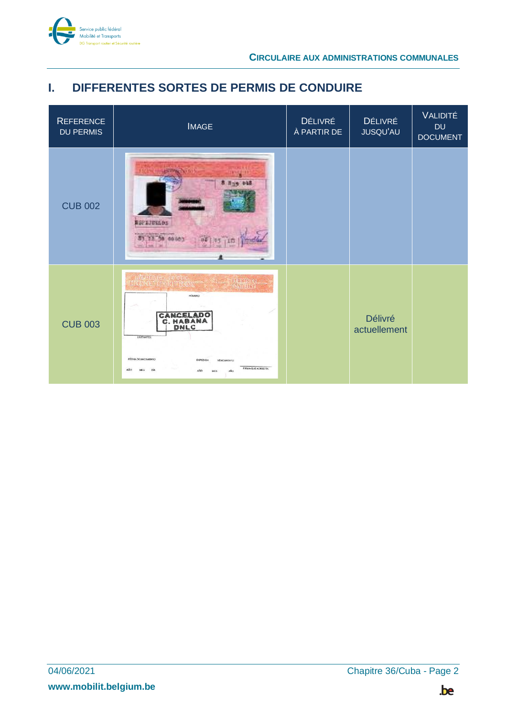

## <span id="page-1-0"></span>**I. DIFFERENTES SORTES DE PERMIS DE CONDUIRE**

| <b>REFERENCE</b><br><b>DU PERMIS</b> | <b>IMAGE</b>                                                                                                                                                                                                                                                                                                             | <b>DÉLIVRÉ</b><br>À PARTIR DE | <b>DÉLIVRÉ</b><br>JUSQU'AU     | VALIDITÉ<br><b>DU</b><br><b>DOCUMENT</b> |
|--------------------------------------|--------------------------------------------------------------------------------------------------------------------------------------------------------------------------------------------------------------------------------------------------------------------------------------------------------------------------|-------------------------------|--------------------------------|------------------------------------------|
| <b>CUB 002</b>                       | $8 - 13$<br><b>NSPAJESLOS</b>                                                                                                                                                                                                                                                                                            |                               |                                |                                          |
| <b>CUB 003</b>                       | <b>STARDTURY DE COPA</b><br>LINERVIERONDIR <mark>GION</mark><br><b>PERITS DE</b><br>CONDUIRE<br><b>KIMERO</b><br>CANCELADO<br>C. HABANA<br>DNLC<br><b>LIVITANTES:</b><br>FECHA DE NACEMENTO<br>EXPEDIDA<br><b>VENCIMENTO</b><br>FIRMA QUE ACREDITA<br>ARO<br>DiA<br><b>MES</b><br><b>AÑO</b><br><b>AÑO</b><br><b>MES</b> |                               | <b>Délivré</b><br>actuellement |                                          |

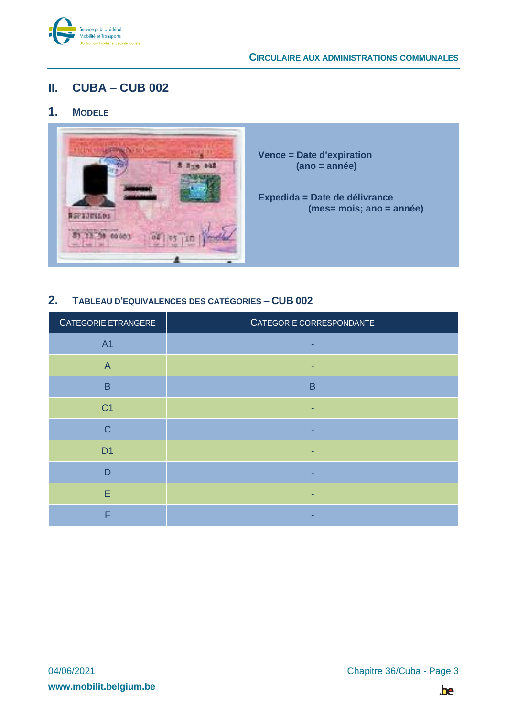

## <span id="page-2-0"></span>**II. CUBA – CUB 002**

### <span id="page-2-1"></span>**1. MODELE**



**Vence = Date d'expiration (ano = année)**

**Expedida = Date de délivrance (mes= mois; ano = année)**

#### <span id="page-2-2"></span>**2. TABLEAU D'EQUIVALENCES DES CATÉGORIES – CUB 002**

| CATEGORIE ETRANGERE | CATEGORIE CORRESPONDANTE |
|---------------------|--------------------------|
| <b>A1</b>           |                          |
| $\overline{A}$      |                          |
| B                   | B                        |
| C <sub>1</sub>      |                          |
| $\mathsf{C}$        |                          |
| D <sub>1</sub>      |                          |
| D                   |                          |
| E                   |                          |
| ⊏                   |                          |